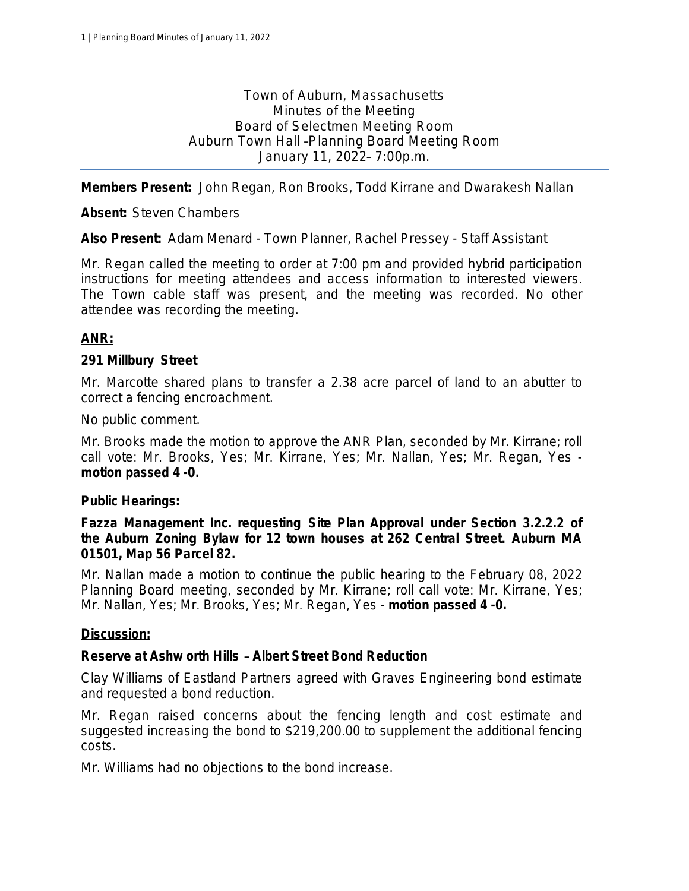Town of Auburn, Massachusetts Minutes of the Meeting Board of Selectmen Meeting Room Auburn Town Hall –Planning Board Meeting Room January 11, 2022– 7:00p.m.

**Members Present:** John Regan, Ron Brooks, Todd Kirrane and Dwarakesh Nallan

**Absent:** Steven Chambers

**Also Present:** Adam Menard - Town Planner, Rachel Pressey - Staff Assistant

Mr. Regan called the meeting to order at 7:00 pm and provided hybrid participation instructions for meeting attendees and access information to interested viewers. The Town cable staff was present, and the meeting was recorded. No other attendee was recording the meeting.

# **ANR:**

# **291 Millbury Street**

Mr. Marcotte shared plans to transfer a 2.38 acre parcel of land to an abutter to correct a fencing encroachment.

No public comment.

Mr. Brooks made the motion to approve the ANR Plan, seconded by Mr. Kirrane; *roll call vote: Mr. Brooks, Yes; Mr. Kirrane, Yes; Mr. Nallan, Yes; Mr. Regan, Yes motion passed 4 -0.*

# **Public Hearings:**

**Fazza Management Inc. requesting Site Plan Approval under Section 3.2.2.2 of the Auburn Zoning Bylaw for 12 town houses at 262 Central Street. Auburn MA 01501, Map 56 Parcel 82.** 

Mr. Nallan made a motion to continue the public hearing to the February 08, 2022 Planning Board meeting, seconded by Mr. Kirrane; *roll call vote: Mr. Kirrane, Yes; Mr. Nallan, Yes; Mr. Brooks, Yes; Mr. Regan, Yes* - *motion passed 4 -0.*

# **Discussion:**

# **Reserve at Ashw orth Hills** – **Albert Street Bond Reduction**

Clay Williams of Eastland Partners agreed with Graves Engineering bond estimate and requested a bond reduction.

Mr. Regan raised concerns about the fencing length and cost estimate and suggested increasing the bond to \$219,200.00 to supplement the additional fencing costs.

Mr. Williams had no objections to the bond increase.